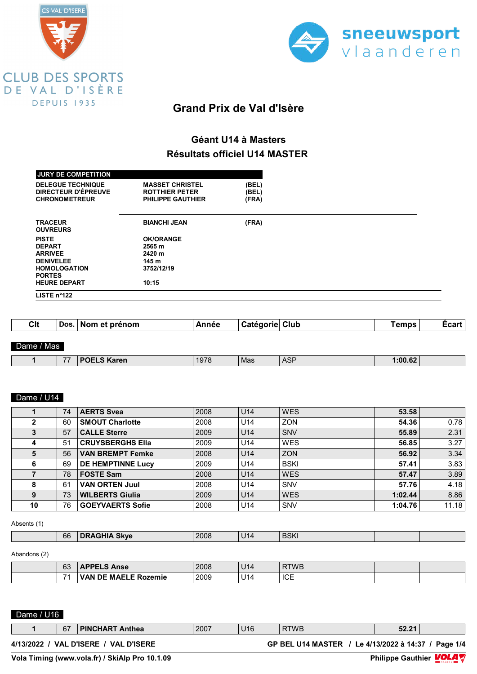



## **Géant U14 à Masters Résultats officiel U14 MASTER**

| <b>JURY DE COMPETITION</b><br><b>DELEGUE TECHNIQUE</b><br>DIRECTEUR D'ÉPREUVE<br><b>CHRONOMETREUR</b> | <b>MASSET CHRISTEL</b><br><b>ROTTHIER PETER</b><br><b>PHILIPPE GAUTHIER</b> | (BEL)<br>(BEL)<br>(FRA) |  |
|-------------------------------------------------------------------------------------------------------|-----------------------------------------------------------------------------|-------------------------|--|
| <b>TRACEUR</b><br><b>OUVREURS</b>                                                                     | <b>BIANCHI JEAN</b>                                                         | (FRA)                   |  |
| <b>PISTE</b>                                                                                          | <b>OK/ORANGE</b>                                                            |                         |  |
| <b>DEPART</b>                                                                                         | 2565 m                                                                      |                         |  |
| <b>ARRIVEE</b>                                                                                        | 2420 m                                                                      |                         |  |
| <b>DENIVELEE</b>                                                                                      | 145 m                                                                       |                         |  |
| <b>HOMOLOGATION</b>                                                                                   | 3752/12/19                                                                  |                         |  |
| <b>PORTES</b>                                                                                         |                                                                             |                         |  |
| <b>HEURE DEPART</b>                                                                                   | 10:15                                                                       |                         |  |
| LISTE n°122                                                                                           |                                                                             |                         |  |

| Clt        | Dos.   Nom et prénom | Année | <sup>∖</sup> Catégorie Club | Temps . | Ecart |
|------------|----------------------|-------|-----------------------------|---------|-------|
|            |                      |       |                             |         |       |
| Dame / Mas |                      |       |                             |         |       |

| $- -$ | .<br>______ | $\sim$ $\sim$ $\sim$ | Mas | $\overline{0}$<br>ног | $\sim$<br>$\sim$<br>.<br>.07<br>------- |  |
|-------|-------------|----------------------|-----|-----------------------|-----------------------------------------|--|
|       |             |                      |     |                       |                                         |  |

#### Dame / U14

|    | 74 | <b>AERTS Svea</b>        | 2008 | U <sub>14</sub> | <b>WES</b>  | 53.58   |       |
|----|----|--------------------------|------|-----------------|-------------|---------|-------|
|    | 60 | <b>SMOUT Charlotte</b>   | 2008 | U <sub>14</sub> | <b>ZON</b>  | 54.36   | 0.78  |
|    | 57 | <b>CALLE Sterre</b>      | 2009 | U14             | SNV         | 55.89   | 2.31  |
|    | 51 | <b>CRUYSBERGHS Ella</b>  | 2009 | U <sub>14</sub> | <b>WES</b>  | 56.85   | 3.27  |
| 5  | 56 | <b>VAN BREMPT Femke</b>  | 2008 | U <sub>14</sub> | <b>ZON</b>  | 56.92   | 3.34  |
| 6  | 69 | <b>DE HEMPTINNE Lucy</b> | 2009 | U <sub>14</sub> | <b>BSKI</b> | 57.41   | 3.83  |
|    | 78 | <b>FOSTE Sam</b>         | 2008 | U <sub>14</sub> | <b>WES</b>  | 57.47   | 3.89  |
| 8  | 61 | <b>VAN ORTEN Juul</b>    | 2008 | U <sub>14</sub> | <b>SNV</b>  | 57.76   | 4.18  |
| 9  | 73 | <b>WILBERTS Giulia</b>   | 2009 | U14             | <b>WES</b>  | 1:02.44 | 8.86  |
| 10 | 76 | <b>GOEYVAERTS Sofie</b>  | 2008 | U <sub>14</sub> | <b>SNV</b>  | 1:04.76 | 11.18 |

#### Absents (1)

| <b>BSKI</b><br>66<br><b>Skve</b><br>2008<br>114 ل |  |
|---------------------------------------------------|--|
|---------------------------------------------------|--|

#### Abandons (2)

| 63 | IDDEI C<br><b>Anse</b>                   | 2008 | U14        | <b>RTWB</b> |  |
|----|------------------------------------------|------|------------|-------------|--|
| 74 | <b>MAELE Rozemie</b><br>VAN<br><b>DE</b> | 2009 | 114<br>. . | <b>ICE</b>  |  |

## Dame / U16

|             | 67 | <b>PINCHART Anthea</b>      | 2007 | U16 | <b>RTWB</b>                                | 52.21 |          |
|-------------|----|-----------------------------|------|-----|--------------------------------------------|-------|----------|
| 4/13/2022 / |    | / VAL D'ISERE / VAL D'ISERE |      |     | GP BEL U14 MASTER / Le 4/13/2022 à 14:37 / |       | Page 1/4 |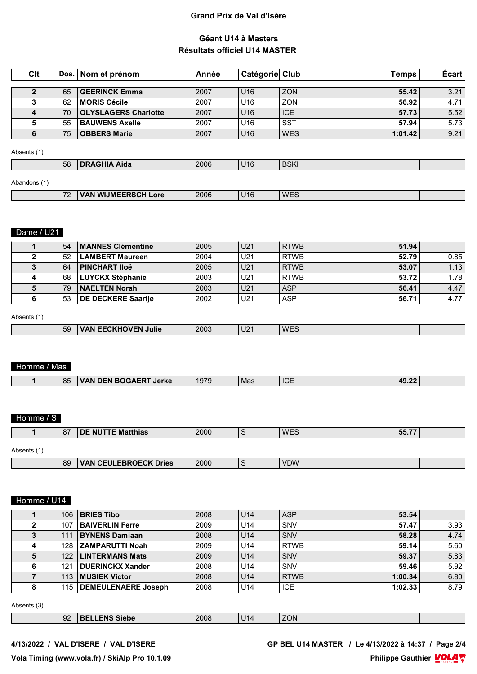## **Géant U14 à Masters Résultats officiel U14 MASTER**

| Clt          |    | ∣ Dos. ∣ Nom et prénom_     | Année | Catégorie Club  |            | Temps   | <b>Ecart</b> |
|--------------|----|-----------------------------|-------|-----------------|------------|---------|--------------|
| $\mathbf{2}$ | 65 | <b>GEERINCK Emma</b>        | 2007  | U <sub>16</sub> | <b>ZON</b> | 55.42   | 3.21         |
| ≏            | 62 | <b>MORIS Cécile</b>         | 2007  | U <sub>16</sub> | ZON        | 56.92   | 4.71         |
|              | 70 | <b>OLYSLAGERS Charlotte</b> | 2007  | U <sub>16</sub> | <b>ICE</b> | 57.73   | 5.52         |
|              | 55 | <b>BAUWENS Axelle</b>       | 2007  | U <sub>16</sub> | <b>SST</b> | 57.94   | 5.73         |
| 6            | 75 | <b>OBBERS Marie</b>         | 2007  | U <sub>16</sub> | <b>WES</b> | 1:01.42 | 9.21         |

#### Absents (1)

| 58 | Aida<br>m | 2006 | U16 | <b>BSKI</b><br>---- |  |
|----|-----------|------|-----|---------------------|--|
|    |           |      |     |                     |  |

## Abandons (1)

| Apandons |                      |                                                                         |      |     |      |  |
|----------|----------------------|-------------------------------------------------------------------------|------|-----|------|--|
|          | $\overline{z}$<br>-- | <b>WUMEERSCH</b><br>$\mathsf{\sim}$ ri Lore $\mathsf{\sim}$<br><b>W</b> | 2006 | J16 | 'WEJ |  |
|          |                      |                                                                         |      |     |      |  |

#### **Dame / U21**

| 54 | <b>MANNES Clémentine</b> | 2005 | U21             | RTWB        | 51.94 |      |
|----|--------------------------|------|-----------------|-------------|-------|------|
| 52 | <b>LAMBERT Maureen</b>   | 2004 | U21             | l RTWB      | 52.79 | 0.85 |
| 64 | <b>PINCHART IIOë</b>     | 2005 | U <sub>21</sub> | <b>RTWB</b> | 53.07 | 1.13 |
| 68 | <b>LUYCKX Stéphanie</b>  | 2003 | U21             | <b>RTWB</b> | 53.72 | 1.78 |
| 79 | <b>NAELTEN Norah</b>     | 2003 | U21             | <b>ASP</b>  | 56.41 | 4.47 |
| 53 | DE DECKERE Saartie       | 2002 | U21             | ASP         | 56.71 | 4.77 |

#### Absents (1)

| __ | 2003<br>WF'<br>59<br>Julie<br>10 <sub>2</sub><br>- IV<br>≒∪∠.<br>,,,,<br><b>VVL-</b> |
|----|--------------------------------------------------------------------------------------|
|----|--------------------------------------------------------------------------------------|

## Homme / Mas

| DEN POCAEDT<br>1070<br>DEN 1<br>VAN<br> | 85 | Jerke | 191 L | Mas | <b>ICE</b> | 49.2 <sub>4</sub> |  |
|-----------------------------------------|----|-------|-------|-----|------------|-------------------|--|
|                                         |    |       |       |     |            |                   |  |

## Homme / S

|             | 87 | <b>DE NUTTE Matthias</b>     | 2000 | $\sqrt{2}$<br>3 | <b>WES</b> | 55.77 |  |
|-------------|----|------------------------------|------|-----------------|------------|-------|--|
| Absents (1) |    |                              |      |                 |            |       |  |
|             | 89 | <b>VAN CEULEBROECK Dries</b> | 2000 | $\sqrt{2}$<br>3 | <b>VDW</b> |       |  |

## Homme / U14

| 106 | <b>BRIES Tibo</b>          | 2008 | U <sub>14</sub> | <b>ASP</b>  | 53.54   |      |
|-----|----------------------------|------|-----------------|-------------|---------|------|
| 107 | <b>BAIVERLIN Ferre</b>     | 2009 | U14             | SNV         | 57.47   | 3.93 |
| 111 | <b>BYNENS Damiaan</b>      | 2008 | U <sub>14</sub> | SNV         | 58.28   | 4.74 |
| 128 | <b>ZAMPARUTTI Noah</b>     | 2009 | U <sub>14</sub> | <b>RTWB</b> | 59.14   | 5.60 |
| 122 | <b>LINTERMANS Mats</b>     | 2009 | U <sub>14</sub> | SNV         | 59.37   | 5.83 |
| 121 | <b>DUERINCKX Xander</b>    | 2008 | U <sub>14</sub> | SNV         | 59.46   | 5.92 |
| 113 | <b>MUSIEK Victor</b>       | 2008 | U <sub>14</sub> | <b>RTWB</b> | 1:00.34 | 6.80 |
| 115 | <b>DEMEULENAERE Joseph</b> | 2008 | U14             | <b>ICE</b>  | 1:02.33 | 8.79 |

#### Absents (3)

| $\sim$<br>2008<br>ZON<br>siebe<br>$\sim$ 14<br>. .<br>--<br>౻∠ |  |  |  |  |
|----------------------------------------------------------------|--|--|--|--|
|                                                                |  |  |  |  |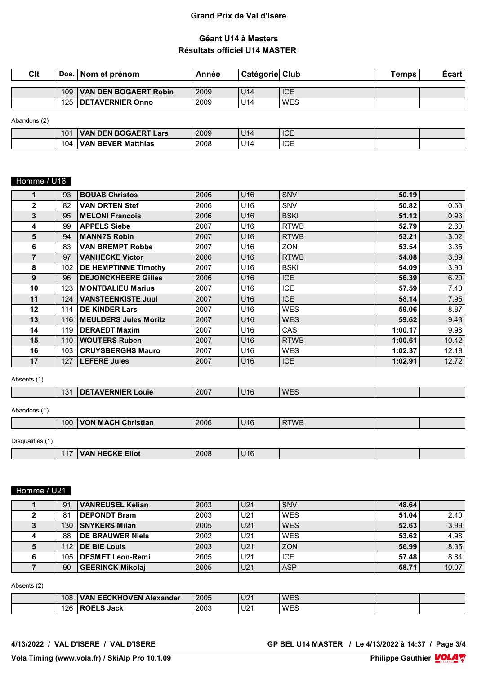## **Géant U14 à Masters Résultats officiel U14 MASTER**

| Clt |     | Dos.   Nom et prénom_        | Année | Catégorie Club  |            | Temps | Ecart |
|-----|-----|------------------------------|-------|-----------------|------------|-------|-------|
|     |     |                              |       |                 |            |       |       |
|     | 109 | <b>VAN DEN BOGAERT Robin</b> | 2009  | U <sub>14</sub> | <b>ICE</b> |       |       |
|     | 125 | <b>DETAVERNIER Onno</b>      | 2009  | U <sub>14</sub> | WES        |       |       |
|     |     |                              |       |                 |            |       |       |

Abandons (2)

| 10 <sub>1</sub> | <b>DEN BOGAERT</b><br>Lars<br>VAN | 2009 | l 14<br>U 14 | <b>ICE</b> |  |
|-----------------|-----------------------------------|------|--------------|------------|--|
| 104             | REVER<br>Matthias<br>VАN          | 2008 | 114<br>ິ     | <b>ICE</b> |  |

# Homme / U16

| 1101111107001  |     |                              |      |                 |             |         |       |
|----------------|-----|------------------------------|------|-----------------|-------------|---------|-------|
|                | 93  | <b>BOUAS Christos</b>        | 2006 | U <sub>16</sub> | <b>SNV</b>  | 50.19   |       |
| $\mathbf{2}$   | 82  | <b>VAN ORTEN Stef</b>        | 2006 | U16             | <b>SNV</b>  | 50.82   | 0.63  |
| 3              | 95  | <b>MELONI Francois</b>       | 2006 | U <sub>16</sub> | <b>BSKI</b> | 51.12   | 0.93  |
| 4              | 99  | <b>APPELS Siebe</b>          | 2007 | U16             | <b>RTWB</b> | 52.79   | 2.60  |
| 5              | 94  | <b>MANN?S Robin</b>          | 2007 | U <sub>16</sub> | <b>RTWB</b> | 53.21   | 3.02  |
| 6              | 83  | <b>VAN BREMPT Robbe</b>      | 2007 | U16             | <b>ZON</b>  | 53.54   | 3.35  |
| $\overline{7}$ | 97  | <b>VANHECKE Victor</b>       | 2006 | U <sub>16</sub> | <b>RTWB</b> | 54.08   | 3.89  |
| 8              | 102 | <b>DE HEMPTINNE Timothy</b>  | 2007 | U16             | <b>BSKI</b> | 54.09   | 3.90  |
| 9              | 96  | <b>DEJONCKHEERE Gilles</b>   | 2006 | U <sub>16</sub> | <b>ICE</b>  | 56.39   | 6.20  |
| 10             | 123 | <b>MONTBALIEU Marius</b>     | 2007 | U16             | <b>ICE</b>  | 57.59   | 7.40  |
| 11             | 124 | <b>VANSTEENKISTE Juul</b>    | 2007 | U <sub>16</sub> | <b>ICE</b>  | 58.14   | 7.95  |
| $12 \,$        | 114 | <b>DE KINDER Lars</b>        | 2007 | U16             | <b>WES</b>  | 59.06   | 8.87  |
| 13             | 116 | <b>MEULDERS Jules Moritz</b> | 2007 | U <sub>16</sub> | <b>WES</b>  | 59.62   | 9.43  |
| 14             | 119 | <b>DERAEDT Maxim</b>         | 2007 | U16             | <b>CAS</b>  | 1:00.17 | 9.98  |
| 15             | 110 | <b>WOUTERS Ruben</b>         | 2007 | U <sub>16</sub> | <b>RTWB</b> | 1:00.61 | 10.42 |
| 16             | 103 | <b>CRUYSBERGHS Mauro</b>     | 2007 | U16             | <b>WES</b>  | 1:02.37 | 12.18 |
| 17             | 127 | <b>LEFERE Jules</b>          | 2007 | U <sub>16</sub> | <b>ICE</b>  | 1:02.91 | 12.72 |

Absents (1)

|                  | 131              | DETAVERNIER Louie  | 2007 | U <sub>16</sub> | <b>WES</b>  |  |
|------------------|------------------|--------------------|------|-----------------|-------------|--|
|                  |                  |                    |      |                 |             |  |
| Abandons (1)     |                  |                    |      |                 |             |  |
|                  | 100 <sub>1</sub> | VON MACH Christian | 2006 | U <sub>16</sub> | <b>RTWB</b> |  |
|                  |                  |                    |      |                 |             |  |
| Disqualifiés (1) |                  |                    |      |                 |             |  |

# 117 **VAN HECKE Eliot** 2008 U16

## Homme / U21

| 91  | <b>VANREUSEL Kélian</b> | 2003 | U21             | <b>SNV</b> | 48.64 |       |
|-----|-------------------------|------|-----------------|------------|-------|-------|
| 81  | <b>DEPONDT Bram</b>     | 2003 | U <sub>21</sub> | WES        | 51.04 | 2.40  |
| 130 | <b>SNYKERS Milan</b>    | 2005 | U <sub>21</sub> | <b>WES</b> | 52.63 | 3.99  |
| 88  | <b>DE BRAUWER Niels</b> | 2002 | U <sub>21</sub> | WES        | 53.62 | 4.98  |
| 112 | <b>DE BIE Louis</b>     | 2003 | U <sub>21</sub> | <b>ZON</b> | 56.99 | 8.35  |
| 105 | <b>DESMET Leon-Remi</b> | 2005 | U <sub>21</sub> | <b>ICE</b> | 57.48 | 8.84  |
| 90  | <b>GEERINCK Mikolai</b> | 2005 | U <sub>21</sub> | <b>ASP</b> | 58.71 | 10.07 |

Absents (2)

| 108 | <b>EECKHOVEN.</b><br><b>TN Alexander</b><br>VAN | 2005 | 110.<br>UZ. | <b>WES</b> |  |
|-----|-------------------------------------------------|------|-------------|------------|--|
| 126 | ∩⊧<br>Jack                                      | 2003 | U2          | WES        |  |